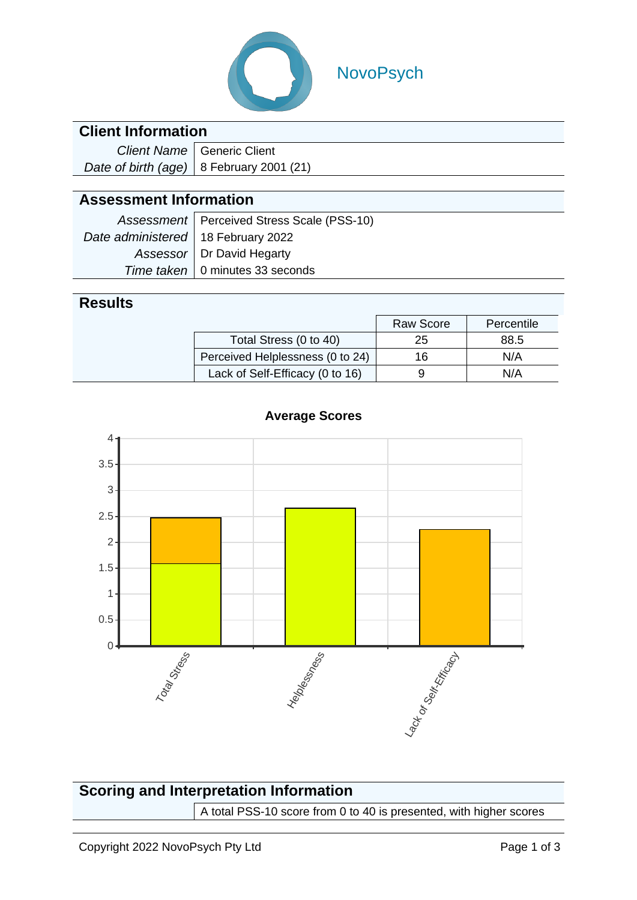

# NovoPsych

#### **Client Information**

| Client Name   Generic Client               |  |  |
|--------------------------------------------|--|--|
| Date of birth (age)   8 February 2001 (21) |  |  |

### **Assessment Information**

|                                      | Assessment   Perceived Stress Scale (PSS-10) |
|--------------------------------------|----------------------------------------------|
| Date administered   18 February 2022 |                                              |
|                                      | Assessor   Dr David Hegarty                  |
|                                      | Time taken   0 minutes 33 seconds            |

#### **Results**

|                                  | <b>Raw Score</b> | Percentile |
|----------------------------------|------------------|------------|
| Total Stress (0 to 40)           | 25               | 88.5       |
| Perceived Helplessness (0 to 24) | 16               | N/A        |
| Lack of Self-Efficacy (0 to 16)  |                  | N/A        |



#### **Average Scores**

### **Scoring and Interpretation Information** A total PSS-10 score from 0 to 40 is presented, with higher scores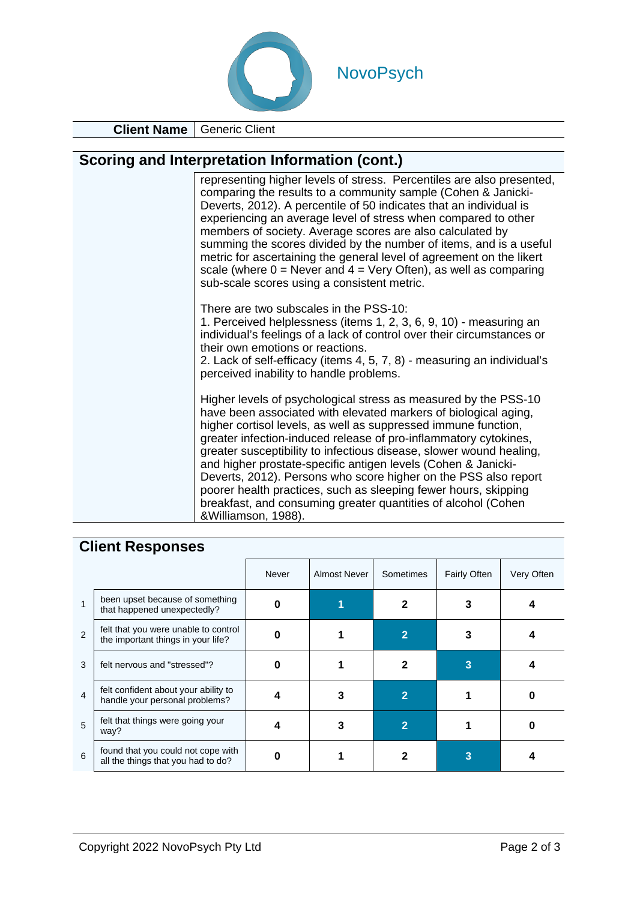

**Client Name** Generic Client

# **Scoring and Interpretation Information (cont.)**

| representing higher levels of stress. Percentiles are also presented,<br>comparing the results to a community sample (Cohen & Janicki-<br>Deverts, 2012). A percentile of 50 indicates that an individual is<br>experiencing an average level of stress when compared to other<br>members of society. Average scores are also calculated by<br>summing the scores divided by the number of items, and is a useful<br>metric for ascertaining the general level of agreement on the likert<br>scale (where $0 =$ Never and $4 =$ Very Often), as well as comparing<br>sub-scale scores using a consistent metric.                               |
|------------------------------------------------------------------------------------------------------------------------------------------------------------------------------------------------------------------------------------------------------------------------------------------------------------------------------------------------------------------------------------------------------------------------------------------------------------------------------------------------------------------------------------------------------------------------------------------------------------------------------------------------|
| There are two subscales in the PSS-10:<br>1. Perceived helplessness (items 1, 2, 3, 6, 9, 10) - measuring an<br>individual's feelings of a lack of control over their circumstances or<br>their own emotions or reactions.<br>2. Lack of self-efficacy (items 4, 5, 7, 8) - measuring an individual's<br>perceived inability to handle problems.                                                                                                                                                                                                                                                                                               |
| Higher levels of psychological stress as measured by the PSS-10<br>have been associated with elevated markers of biological aging,<br>higher cortisol levels, as well as suppressed immune function,<br>greater infection-induced release of pro-inflammatory cytokines,<br>greater susceptibility to infectious disease, slower wound healing,<br>and higher prostate-specific antigen levels (Cohen & Janicki-<br>Deverts, 2012). Persons who score higher on the PSS also report<br>poorer health practices, such as sleeping fewer hours, skipping<br>breakfast, and consuming greater quantities of alcohol (Cohen<br>&Williamson, 1988). |

# **Client Responses**

|                |                                                                            | Never | Almost Never | Sometimes | <b>Fairly Often</b> | Very Often |
|----------------|----------------------------------------------------------------------------|-------|--------------|-----------|---------------------|------------|
|                | been upset because of something<br>that happened unexpectedly?             |       |              |           |                     |            |
| $\mathfrak{p}$ | felt that you were unable to control<br>the important things in your life? |       |              |           |                     |            |
| 3              | felt nervous and "stressed"?                                               | 0     |              |           |                     |            |
| $\overline{4}$ | felt confident about your ability to<br>handle your personal problems?     |       |              | 2         |                     |            |
| 5              | felt that things were going your<br>way?                                   |       |              |           |                     |            |
| 6              | found that you could not cope with<br>all the things that you had to do?   |       |              |           |                     |            |